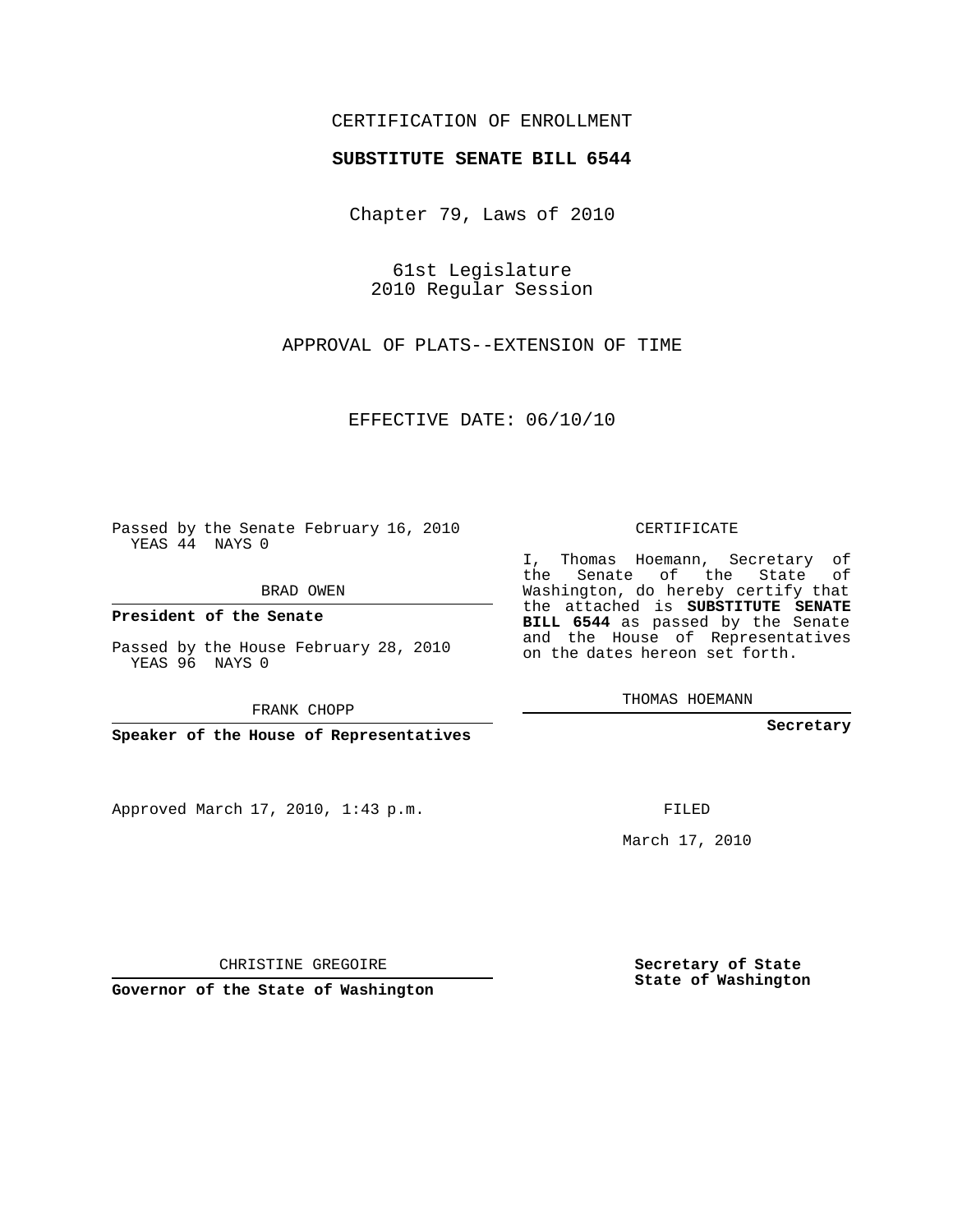## CERTIFICATION OF ENROLLMENT

## **SUBSTITUTE SENATE BILL 6544**

Chapter 79, Laws of 2010

61st Legislature 2010 Regular Session

APPROVAL OF PLATS--EXTENSION OF TIME

EFFECTIVE DATE: 06/10/10

Passed by the Senate February 16, 2010 YEAS 44 NAYS 0

BRAD OWEN

**President of the Senate**

Passed by the House February 28, 2010 YEAS 96 NAYS 0

FRANK CHOPP

**Speaker of the House of Representatives**

Approved March 17, 2010, 1:43 p.m.

CERTIFICATE

I, Thomas Hoemann, Secretary of the Senate of the State of Washington, do hereby certify that the attached is **SUBSTITUTE SENATE BILL 6544** as passed by the Senate and the House of Representatives on the dates hereon set forth.

THOMAS HOEMANN

**Secretary**

FILED

March 17, 2010

**Secretary of State State of Washington**

CHRISTINE GREGOIRE

**Governor of the State of Washington**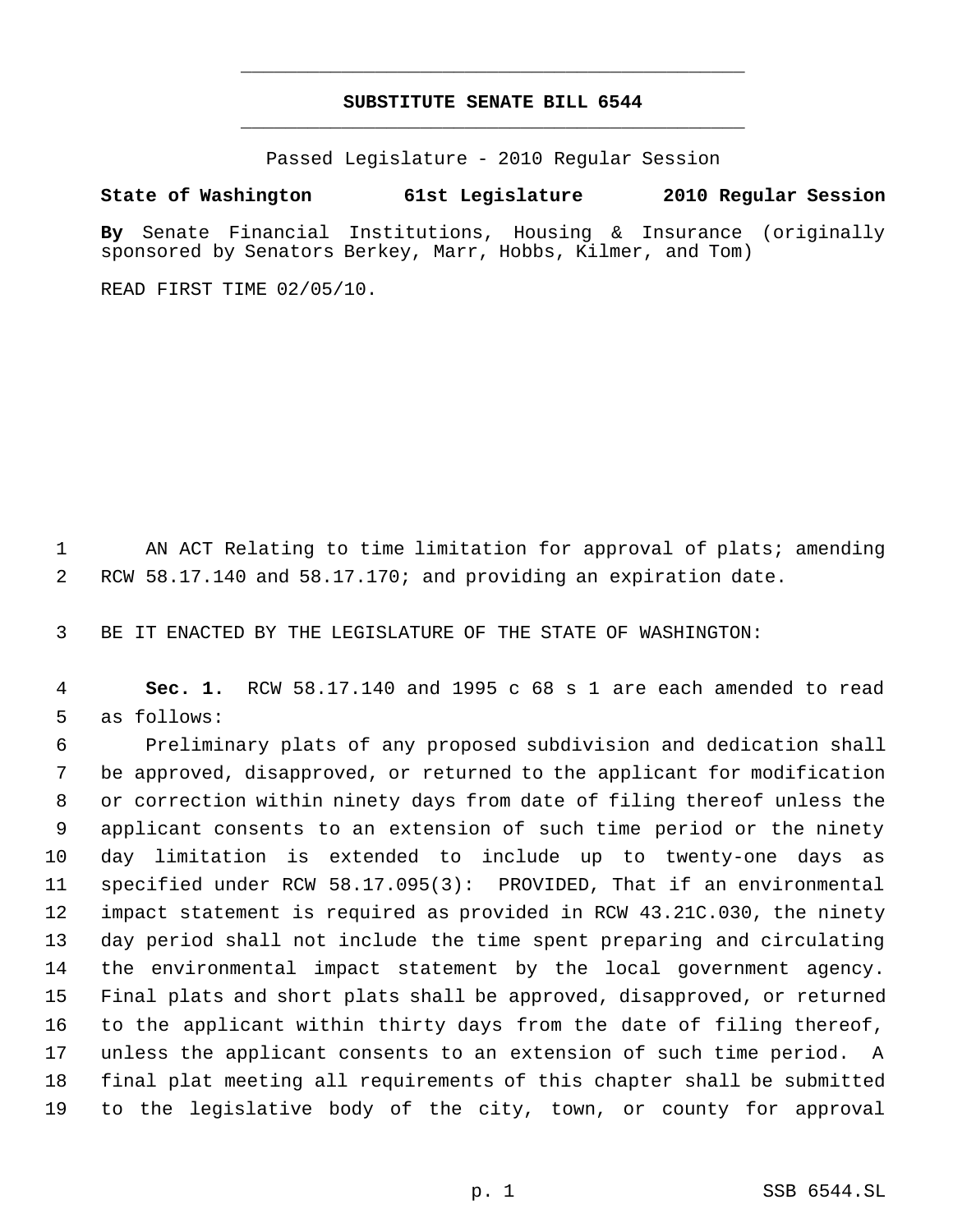## **SUBSTITUTE SENATE BILL 6544** \_\_\_\_\_\_\_\_\_\_\_\_\_\_\_\_\_\_\_\_\_\_\_\_\_\_\_\_\_\_\_\_\_\_\_\_\_\_\_\_\_\_\_\_\_

\_\_\_\_\_\_\_\_\_\_\_\_\_\_\_\_\_\_\_\_\_\_\_\_\_\_\_\_\_\_\_\_\_\_\_\_\_\_\_\_\_\_\_\_\_

Passed Legislature - 2010 Regular Session

**State of Washington 61st Legislature 2010 Regular Session**

**By** Senate Financial Institutions, Housing & Insurance (originally sponsored by Senators Berkey, Marr, Hobbs, Kilmer, and Tom)

READ FIRST TIME 02/05/10.

 AN ACT Relating to time limitation for approval of plats; amending RCW 58.17.140 and 58.17.170; and providing an expiration date.

BE IT ENACTED BY THE LEGISLATURE OF THE STATE OF WASHINGTON:

 **Sec. 1.** RCW 58.17.140 and 1995 c 68 s 1 are each amended to read as follows:

 Preliminary plats of any proposed subdivision and dedication shall be approved, disapproved, or returned to the applicant for modification or correction within ninety days from date of filing thereof unless the applicant consents to an extension of such time period or the ninety day limitation is extended to include up to twenty-one days as specified under RCW 58.17.095(3): PROVIDED, That if an environmental impact statement is required as provided in RCW 43.21C.030, the ninety day period shall not include the time spent preparing and circulating the environmental impact statement by the local government agency. Final plats and short plats shall be approved, disapproved, or returned to the applicant within thirty days from the date of filing thereof, unless the applicant consents to an extension of such time period. A final plat meeting all requirements of this chapter shall be submitted to the legislative body of the city, town, or county for approval